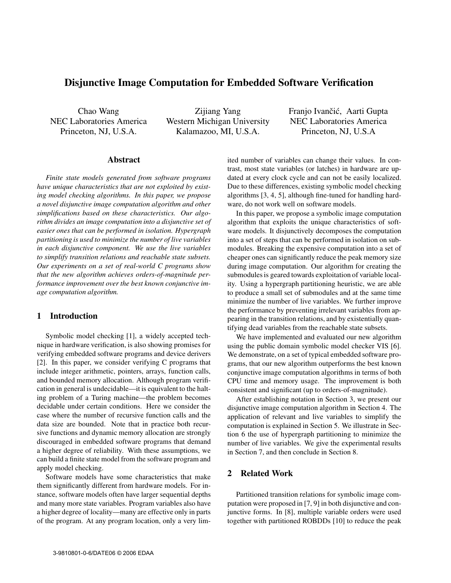# **Disjunctive Image Computation for Embedded Software Verification**

Chao Wang NEC Laboratories America Princeton, NJ, U.S.A.

Zijiang Yang Western Michigan University Kalamazoo, MI, U.S.A.

Franjo Ivančić, Aarti Gupta NEC Laboratories America Princeton, NJ, U.S.A

## **Abstract**

*Finite state models generated from software programs have unique characteristics that are not exploited by existing model checking algorithms. In this paper, we propose a novel disjunctive image computation algorithm and other simplifications based on these characteristics. Our algorithm divides an image computation into a disjunctive set of easier ones that can be performed in isolation. Hypergraph partitioning is used to minimize the number of live variables in each disjunctive component. We use the live variables to simplify transition relations and reachable state subsets. Our experiments on a set of real-world C programs show that the new algorithm achieves orders-of-magnitude performance improvement over the best known conjunctive image computation algorithm.*

# **1 Introduction**

Symbolic model checking [1], a widely accepted technique in hardware verification, is also showing promises for verifying embedded software programs and device derivers [2]. In this paper, we consider verifying C programs that include integer arithmetic, pointers, arrays, function calls, and bounded memory allocation. Although program verification in general is undecidable—it is equivalent to the halting problem of a Turing machine—the problem becomes decidable under certain conditions. Here we consider the case where the number of recursive function calls and the data size are bounded. Note that in practice both recursive functions and dynamic memory allocation are strongly discouraged in embedded software programs that demand a higher degree of reliability. With these assumptions, we can build a finite state model from the software program and apply model checking.

Software models have some characteristics that make them significantly different from hardware models. For instance, software models often have larger sequential depths and many more state variables. Program variables also have a higher degree of locality—many are effective only in parts of the program. At any program location, only a very limited number of variables can change their values. In contrast, most state variables (or latches) in hardware are updated at every clock cycle and can not be easily localized. Due to these differences, existing symbolic model checking algorithms [3, 4, 5], although fine-tuned for handling hardware, do not work well on software models.

In this paper, we propose a symbolic image computation algorithm that exploits the unique characteristics of software models. It disjunctively decomposes the computation into a set of steps that can be performed in isolation on submodules. Breaking the expensive computation into a set of cheaper ones can significantly reduce the peak memory size during image computation. Our algorithm for creating the submodules is geared towards exploitation of variable locality. Using a hypergraph partitioning heuristic, we are able to produce a small set of submodules and at the same time minimize the number of live variables. We further improve the performance by preventing irrelevant variables from appearing in the transition relations, and by existentially quantifying dead variables from the reachable state subsets.

We have implemented and evaluated our new algorithm using the public domain symbolic model checker VIS [6]. We demonstrate, on a set of typical embedded software programs, that our new algorithm outperforms the best known conjunctive image computation algorithms in terms of both CPU time and memory usage. The improvement is both consistent and significant (up to orders-of-magnitude).

After establishing notation in Section 3, we present our disjunctive image computation algorithm in Section 4. The application of relevant and live variables to simplify the computation is explained in Section 5. We illustrate in Section 6 the use of hypergraph partitioning to minimize the number of live variables. We give the experimental results in Section 7, and then conclude in Section 8.

# **2 Related Work**

Partitioned transition relations for symbolic image computation were proposed in [7, 9] in both disjunctive and conjunctive forms. In [8], multiple variable orders were used together with partitioned ROBDDs [10] to reduce the peak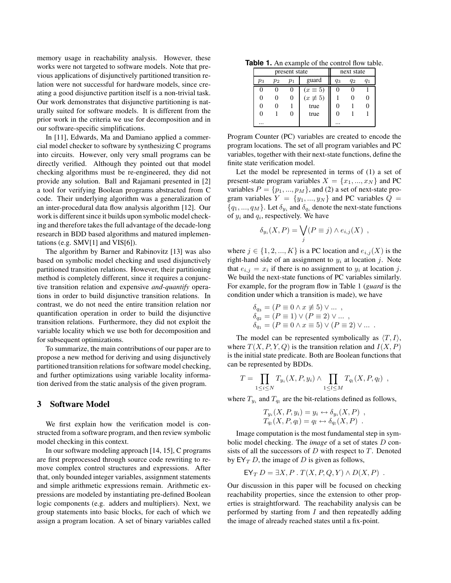memory usage in reachability analysis. However, these works were not targeted to software models. Note that previous applications of disjunctively partitioned transition relation were not successful for hardware models, since creating a good disjunctive partition itself is a non-trivial task. Our work demonstrates that disjunctive partitioning is naturally suited for software models. It is different from the prior work in the criteria we use for decomposition and in our software-specific simplifications.

In [11], Edwards, Ma and Damiano applied a commercial model checker to software by synthesizing C programs into circuits. However, only very small programs can be directly verified. Although they pointed out that model checking algorithms must be re-engineered, they did not provide any solution. Ball and Rajamani presented in [2] a tool for verifying Boolean programs abstracted from C code. Their underlying algorithm was a generalization of an inter-procedural data flow analysis algorithm [12]. Our work is different since it builds upon symbolic model checking and therefore takes the full advantage of the decade-long research in BDD based algorithms and matured implementations (e.g. SMV[1] and VIS[6]).

The algorithm by Barner and Rabinovitz [13] was also based on symbolic model checking and used disjunctively partitioned transition relations. However, their partitioning method is completely different, since it requires a conjunctive transition relation and expensive *and-quantify* operations in order to build disjunctive transition relations. In contrast, we do not need the entire transition relation nor quantification operation in order to build the disjunctive transition relations. Furthermore, they did not exploit the variable locality which we use both for decomposition and for subsequent optimizations.

To summarize, the main contributions of our paper are to propose a new method for deriving and using disjunctively partitioned transition relations for software model checking, and further optimizations using variable locality information derived from the static analysis of the given program.

## **3 Software Model**

We first explain how the verification model is constructed from a software program, and then review symbolic model checking in this context.

In our software modeling approach [14, 15], C programs are first preprocessed through source code rewriting to remove complex control structures and expressions. After that, only bounded integer variables, assignment statements and simple arithmetic expressions remain. Arithmetic expressions are modeled by instantiating pre-defined Boolean logic components (e.g. adders and multipliers). Next, we group statements into basic blocks, for each of which we assign a program location. A set of binary variables called

**Table 1.** An example of the control flow table.

| present state |       |       |                                              | next state |    |  |  |
|---------------|-------|-------|----------------------------------------------|------------|----|--|--|
| $\,p_3$       | $p_2$ | $p_1$ | guard                                        | $q_3$      | a2 |  |  |
|               |       |       |                                              |            |    |  |  |
|               |       | 0     | $(x \equiv 5)$<br>$(x \not\equiv 5)$<br>true |            |    |  |  |
|               |       |       |                                              |            |    |  |  |
|               |       |       | true                                         |            |    |  |  |
|               |       |       |                                              | .          |    |  |  |

Program Counter (PC) variables are created to encode the program locations. The set of all program variables and PC variables, together with their next-state functions, define the finite state verification model.

Let the model be represented in terms of (1) a set of present-state program variables  $X = \{x_1, ..., x_N\}$  and PC variables  $P = \{p_1, ..., p_M\}$ , and (2) a set of next-state program variables  $Y = \{y_1, ..., y_N\}$  and PC variables  $Q =$  $\{q_1, ..., q_M\}$ . Let  $\delta_{y_i}$  and  $\delta_{q_i}$  denote the next-state functions of  $y_i$  and  $q_i$ , respectively. We have

$$
\delta_{y_i}(X, P) = \bigvee_j (P \equiv j) \wedge e_{i,j}(X) ,
$$

where  $j \in \{1, 2, ..., K\}$  is a PC location and  $e_{i,j}(X)$  is the right-hand side of an assignment to  $y_i$  at location j. Note that  $e_{i,j} = x_i$  if there is no assignment to  $y_i$  at location j. We build the next-state functions of PC variables similarly. For example, for the program flow in Table 1 (*guard* is the condition under which a transition is made), we have

$$
\delta_{q_3} = (P \equiv 0 \land x \not\equiv 5) \lor \dots ,\n\delta_{q_2} = (P \equiv 1) \lor (P \equiv 2) \lor \dots ,\n\delta_{q_1} = (P \equiv 0 \land x \equiv 5) \lor (P \equiv 2) \lor \dots .
$$

The model can be represented symbolically as  $\langle T, I \rangle$ , where  $T(X, P, Y, Q)$  is the transition relation and  $I(X, P)$ is the initial state predicate. Both are Boolean functions that can be represented by BDDs.

$$
T = \prod_{1 \leq i \leq N} T_{y_i}(X, P, y_i) \wedge \prod_{1 \leq l \leq M} T_{q_l}(X, P, q_l) ,
$$

where  $T_{y_i}$  and  $T_{q_i}$  are the bit-relations defined as follows,

$$
T_{y_i}(X, P, y_i) = y_i \leftrightarrow \delta_{y_i}(X, P) ,
$$
  
\n
$$
T_{q_l}(X, P, q_l) = q_l \leftrightarrow \delta_{q_l}(X, P) .
$$

Image computation is the most fundamental step in symbolic model checking. The *image* of a set of states D consists of all the successors of  $D$  with respect to  $T$ . Denoted by  $EY_T D$ , the image of D is given as follows,

$$
\mathsf{EY}_T D = \exists X, P \, . \, T(X, P, Q, Y) \wedge D(X, P) \, .
$$

Our discussion in this paper will be focused on checking reachability properties, since the extension to other properties is straightforward. The reachability analysis can be performed by starting from I and then repeatedly adding the image of already reached states until a fix-point.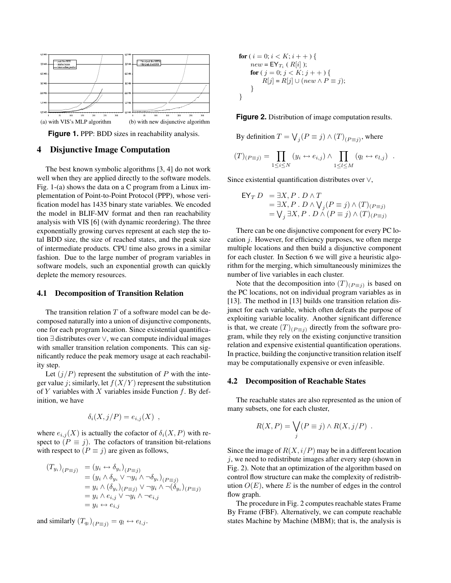

**Figure 1.** PPP: BDD sizes in reachability analysis.

## **4 Disjunctive Image Computation**

The best known symbolic algorithms [3, 4] do not work well when they are applied directly to the software models. Fig. 1-(a) shows the data on a C program from a Linux implementation of Point-to-Point Protocol (PPP), whose verification model has 1435 binary state variables. We encoded the model in BLIF-MV format and then ran reachability analysis with VIS [6] (with dynamic reordering). The three exponentially growing curves represent at each step the total BDD size, the size of reached states, and the peak size of intermediate products. CPU time also grows in a similar fashion. Due to the large number of program variables in software models, such an exponential growth can quickly deplete the memory resources.

#### **4.1 Decomposition of Transition Relation**

The transition relation  $T$  of a software model can be decomposed naturally into a union of disjunctive components, one for each program location. Since existential quantification ∃ distributes over ∨, we can compute individual images with smaller transition relation components. This can significantly reduce the peak memory usage at each reachability step.

Let  $(j/P)$  represent the substitution of P with the integer value *i*; similarly, let  $f(X/Y)$  represent the substitution of Y variables with X variables inside Function  $f$ . By definition, we have

$$
\delta_i(X, j/P) = e_{i,j}(X) ,
$$

where  $e_{i,j}(X)$  is actually the cofactor of  $\delta_i(X, P)$  with respect to  $(P \equiv j)$ . The cofactors of transition bit-relations with respect to  $(P \equiv j)$  are given as follows,

$$
(T_{y_i})_{(P \equiv j)} = (y_i \leftrightarrow \delta_{y_i})_{(P \equiv j)}
$$
  
=  $(y_i \land \delta_{y_i} \lor \neg y_i \land \neg \delta_{y_i})_{(P \equiv j)}$   
=  $y_i \land (\delta_{y_i})_{(P \equiv j)} \lor \neg y_i \land \neg (\delta_{y_i})_{(P \equiv j)}$   
=  $y_i \land e_{i,j} \lor \neg y_i \land \neg e_{i,j}$   
=  $y_i \leftrightarrow e_{i,j}$ 

and similarly  $(T_{qi})_{(P \equiv j)} = q_l \leftrightarrow e_{l,j}$ .

**for** 
$$
(i = 0; i < K; i++) \{ \\ new = \text{EY}_{T_i} (R[i]); \text{for } (j = 0; j < K; j++) \{ \\ R[j] = R[j] \cup (new \land P \equiv j); \} \}
$$

**Figure 2.** Distribution of image computation results.

By definition  $T = \bigvee_j (P \equiv j) \wedge (T)_{(P \equiv j)}$ , where  $(T)_{(P \equiv j)} = \prod$  $1\leq i\leq N$  $(y_i \leftrightarrow e_{i,j}) \wedge \prod$  $1 \leq l \leq M$  $(q_l \leftrightarrow e_{l,j})$  .

Since existential quantification distributes over ∨,

$$
\begin{array}{lll} \mathsf{E}\mathsf{Y}_T\,D & = \exists X, P\ .\ D \land T \\ & = \exists X, P\ .\ D \land \bigvee_j (P \equiv j) \land (T)_{(P \equiv j)} \\ & = \bigvee_j \exists X, P\ .\ D \land (P \equiv j) \land (T)_{(P \equiv j)} \end{array}
$$

There can be one disjunctive component for every PC location  $j$ . However, for efficiency purposes, we often merge multiple locations and then build a disjunctive component for each cluster. In Section 6 we will give a heuristic algorithm for the merging, which simultaneously minimizes the number of live variables in each cluster.

Note that the decomposition into  $(T)_{(P \equiv j)}$  is based on the PC locations, not on individual program variables as in [13]. The method in [13] builds one transition relation disjunct for each variable, which often defeats the purpose of exploiting variable locality. Another significant difference is that, we create  $(T)_{(P \equiv j)}$  directly from the software program, while they rely on the existing conjunctive transition relation and expensive existential quantification operations. In practice, building the conjunctive transition relation itself may be computationally expensive or even infeasible.

#### **4.2 Decomposition of Reachable States**

The reachable states are also represented as the union of many subsets, one for each cluster,

$$
R(X, P) = \bigvee_j (P \equiv j) \wedge R(X, j/P) .
$$

Since the image of  $R(X,i/P)$  may be in a different location  $j$ , we need to redistribute images after every step (shown in Fig. 2). Note that an optimization of the algorithm based on control flow structure can make the complexity of redistribution  $O(E)$ , where E is the number of edges in the control flow graph.

The procedure in Fig. 2 computes reachable states Frame By Frame (FBF). Alternatively, we can compute reachable states Machine by Machine (MBM); that is, the analysis is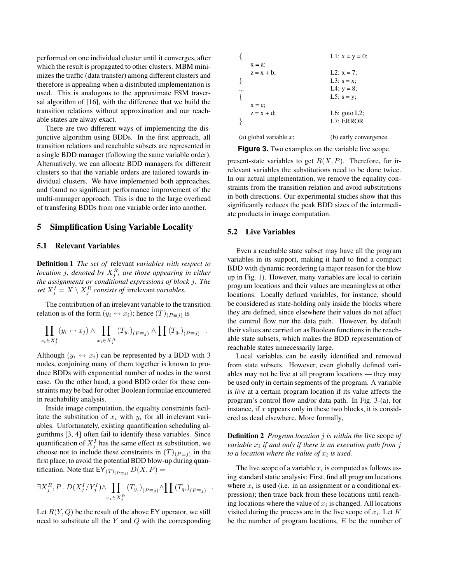performed on one individual cluster until it converges, after which the result is propagated to other clusters. MBM minimizes the traffic (data transfer) among different clusters and therefore is appealing when a distributed implementation is used. This is analogous to the approximate FSM traversal algorithm of [16], with the difference that we build the transition relations without approximation and our reachable states are alway exact.

There are two different ways of implementing the disjunctive algorithm using BDDs. In the first approach, all transition relations and reachable subsets are represented in a single BDD manager (following the same variable order). Alternatively, we can allocate BDD managers for different clusters so that the variable orders are tailored towards individual clusters. We have implemented both approaches, and found no significant performance improvement of the multi-manager approach. This is due to the large overhead of transfering BDDs from one variable order into another.

#### **5 Simplification Using Variable Locality**

#### **5.1 Relevant Variables**

**Definition 1** *The set of* relevant *variables with respect to location j, denoted by*  $X_j^R$ *, are those appearing in either the assignments or conditional expressions of block* j*. The set*  $X_j^I = X \setminus X_j^R$  *consists of* irrelevant *variables.* 

The contribution of an irrelevant variable to the transition relation is of the form  $(y_i \leftrightarrow x_i)$ ; hence  $(T)_{(P \equiv j)}$  is

$$
\prod_{x_i \in X_j^I} (y_i \leftrightarrow x_j) \land \prod_{x_i \in X_j^R} (T_{y_i})_{(P \equiv j)} \land \prod (T_{q_i})_{(P \equiv j)}.
$$

Although  $(y_i \leftrightarrow x_i)$  can be represented by a BDD with 3 nodes, conjoining many of them together is known to produce BDDs with exponential number of nodes in the worst case. On the other hand, a good BDD order for these constraints may be bad for other Boolean formulae encountered in reachability analysis.

Inside image computation, the equality constraints facilitate the substitution of  $x_i$  with  $y_i$  for all irrelevant variables. Unfortunately, existing quantification scheduling algorithms [3, 4] often fail to identify these variables. Since quantification of  $X_j^I$  has the same effect as substitution, we choose not to include these constraints in  $(T)_{(P \equiv j)}$  in the first place, to avoid the potential BDD blow-up during quantification. Note that  $EY_{(T)(P \equiv i)} D(X, P) =$ 

$$
\exists X_j^R, P \cdot D(X_j^I/Y_j^I) \wedge \prod_{x_i \in X_j^R} (T_{y_i})_{(P \equiv j)} \wedge \prod (T_{q_i})_{(P \equiv j)}.
$$

Let  $R(Y, Q)$  be the result of the above EY operator, we still need to substitute all the  $Y$  and  $Q$  with the corresponding

|                           | L1: $x = y = 0$ ;      |
|---------------------------|------------------------|
| $x = a$                   |                        |
| $z = x + b$ ;             | L2: $x = 7$ ;          |
|                           | L3: $s = x$ ;          |
|                           | L4: $y = 8$ ;          |
|                           | L5: $s = y$ ;          |
| $X = C$                   |                        |
| $z = x + d$ ;             | L6: goto L2;           |
|                           | L7: ERROR              |
| (a) global variable $x$ ; | (b) early convergence. |

**Figure 3.** Two examples on the variable live scope.

present-state variables to get  $R(X, P)$ . Therefore, for irrelevant variables the substitutions need to be done twice. In our actual implementation, we remove the equality constraints from the transition relation and avoid substitutions in both directions. Our experimental studies show that this significantly reduces the peak BDD sizes of the intermediate products in image computation.

## **5.2 Live Variables**

Even a reachable state subset may have all the program variables in its support, making it hard to find a compact BDD with dynamic reordering (a major reason for the blow up in Fig. 1). However, many variables are local to certain program locations and their values are meaningless at other locations. Locally defined variables, for instance, should be considered as state-holding only inside the blocks where they are defined, since elsewhere their values do not affect the control flow nor the data path. However, by default their values are carried on as Boolean functionsin the reachable state subsets, which makes the BDD representation of reachable states unnecessarily large.

Local variables can be easily identified and removed from state subsets. However, even globally defined variables may not be live at all program locations — they may be used only in certain segments of the program. A variable is *live* at a certain program location if its value affects the program's control flow and/or data path. In Fig. 3-(a), for instance, if  $x$  appears only in these two blocks, it is considered as dead elsewhere. More formally,

**Definition 2** *Program location* j *is within the* live scope *of variable*  $x_i$  *if and only if there is an execution path from*  $j$ *to a location where the value of*  $x_i$  *is used.* 

The live scope of a variable  $x_i$  is computed as follows using standard static analysis: First, find all program locations where  $x_i$  is used (i.e. in an assignment or a conditional expression); then trace back from these locations until reaching locations where the value of  $x_i$  is changed. All locations visited during the process are in the live scope of  $x_i$ . Let  $K$ be the number of program locations,  $E$  be the number of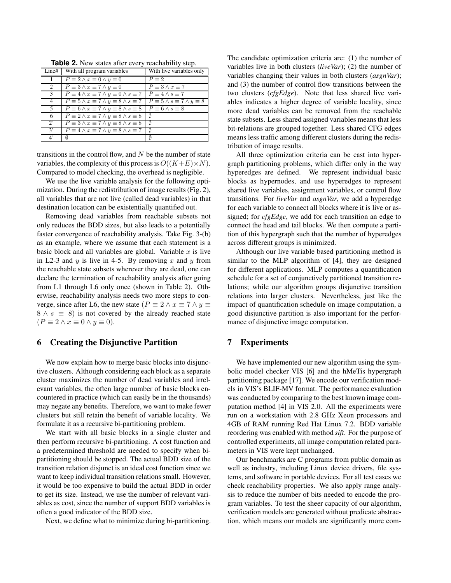**Table 2.** New states after every reachability step.

| Line#          | With all program variables                                                                                          | With live variables only       |  |  |
|----------------|---------------------------------------------------------------------------------------------------------------------|--------------------------------|--|--|
|                | $P \equiv 2 \wedge x \equiv 0 \wedge y \equiv 0$                                                                    | $P \equiv 2$                   |  |  |
| 2              | $P \equiv 3 \wedge x \equiv 7 \wedge y \equiv 0$                                                                    | $P \equiv 3 \wedge x \equiv 7$ |  |  |
| $\overline{3}$ | $P \equiv 4 \wedge x \equiv 7 \wedge y \equiv 0 \wedge s \equiv 7$ $P \equiv 4 \wedge s \equiv 7$                   |                                |  |  |
| $\overline{4}$ | $P \equiv 5 \wedge x \equiv 7 \wedge y \equiv 8 \wedge s \equiv 7$ $P \equiv 5 \wedge s \equiv 7 \wedge y \equiv 8$ |                                |  |  |
| 5              | $P \equiv 6 \wedge x \equiv 7 \wedge y \equiv 8 \wedge s \equiv 8$ $P \equiv 6 \wedge s \equiv 8$                   |                                |  |  |
| 6              | $P \equiv 2 \wedge x \equiv 7 \wedge y \equiv 8 \wedge s \equiv 8$                                                  | Ø                              |  |  |
| $2^{\circ}$    | $P \equiv 3 \wedge x \equiv 7 \wedge y \equiv 8 \wedge s \equiv 8$                                                  | Ø                              |  |  |
| 3'             | $P \equiv 4 \wedge x \equiv 7 \wedge y \equiv 8 \wedge s \equiv 7$                                                  | 0                              |  |  |
| 4'             |                                                                                                                     |                                |  |  |

transitions in the control flow, and  $N$  be the number of state variables, the complexity of this process is  $O((K+E)\times N)$ . Compared to model checking, the overhead is negligible.

We use the live variable analysis for the following optimization. During the redistribution of image results (Fig. 2), all variables that are not live (called dead variables) in that destination location can be existentially quantified out.

Removing dead variables from reachable subsets not only reduces the BDD sizes, but also leads to a potentially faster convergence of reachability analysis. Take Fig. 3-(b) as an example, where we assume that each statement is a basic block and all variables are global. Variable  $x$  is live in L2-3 and  $y$  is live in 4-5. By removing  $x$  and  $y$  from the reachable state subsets wherever they are dead, one can declare the termination of reachability analysis after going from L1 through L6 only once (shown in Table 2). Otherwise, reachability analysis needs two more steps to converge, since after L6, the new state ( $P \equiv 2 \land x \equiv 7 \land y \equiv 1$  $8 \wedge s \equiv 8$ ) is not covered by the already reached state  $(P \equiv 2 \wedge x \equiv 0 \wedge y \equiv 0).$ 

## **6 Creating the Disjunctive Partition**

We now explain how to merge basic blocks into disjunctive clusters. Although considering each block as a separate cluster maximizes the number of dead variables and irrelevant variables, the often large number of basic blocks encountered in practice (which can easily be in the thousands) may negate any benefits. Therefore, we want to make fewer clusters but still retain the benefit of variable locality. We formulate it as a recursive bi-partitioning problem.

We start with all basic blocks in a single cluster and then perform recursive bi-partitioning. A cost function and a predetermined threshold are needed to specify when bipartitioning should be stopped. The actual BDD size of the transition relation disjunct is an ideal cost function since we want to keep individual transition relations small. However, it would be too expensive to build the actual BDD in order to get its size. Instead, we use the number of relevant variables as cost, since the number of support BDD variables is often a good indicator of the BDD size.

Next, we define what to minimize during bi-partitioning.

The candidate optimization criteria are: (1) the number of variables live in both clusters (*liveVar*); (2) the number of variables changing their values in both clusters (*asgnVar*); and (3) the number of control flow transitions between the two clusters (*cfgEdge*). Note that less shared live variables indicates a higher degree of variable locality, since more dead variables can be removed from the reachable state subsets. Less shared assigned variables means that less bit-relations are grouped together. Less shared CFG edges means less traffic among different clusters during the redistribution of image results.

All three optimization criteria can be cast into hypergraph partitioning problems, which differ only in the way hyperedges are defined. We represent individual basic blocks as hypernodes, and use hyperedges to represent shared live variables, assignment variables, or control flow transitions. For *liveVar* and *asgnVar*, we add a hyperedge for each variable to connect all blocks where it is live or assigned; for *cfgEdge*, we add for each transition an edge to connect the head and tail blocks. We then compute a partition of this hypergraph such that the number of hyperedges across different groups is minimized.

Although our live variable based partitioning method is similar to the MLP algorithm of [4], they are designed for different applications. MLP computes a quantification schedule for a set of conjunctively partitioned transition relations; while our algorithm groups disjunctive transition relations into larger clusters. Nevertheless, just like the impact of quantification schedule on image computation, a good disjunctive partition is also important for the performance of disjunctive image computation.

#### **7 Experiments**

We have implemented our new algorithm using the symbolic model checker VIS [6] and the hMeTis hypergraph partitioning package [17]. We encode our verification models in VIS's BLIF-MV format. The performance evaluation was conducted by comparing to the best known image computation method [4] in VIS 2.0. All the experiments were run on a workstation with 2.8 GHz Xeon processors and 4GB of RAM running Red Hat Linux 7.2. BDD variable reordering was enabled with method *sift*. For the purpose of controlled experiments, all image computation related parameters in VIS were kept unchanged.

Our benchmarks are C programs from public domain as well as industry, including Linux device drivers, file systems, and software in portable devices. For all test cases we check reachability properties. We also apply range analysis to reduce the number of bits needed to encode the program variables. To test the sheer capacity of our algorithm, verification models are generated without predicate abstraction, which means our models are significantly more com-